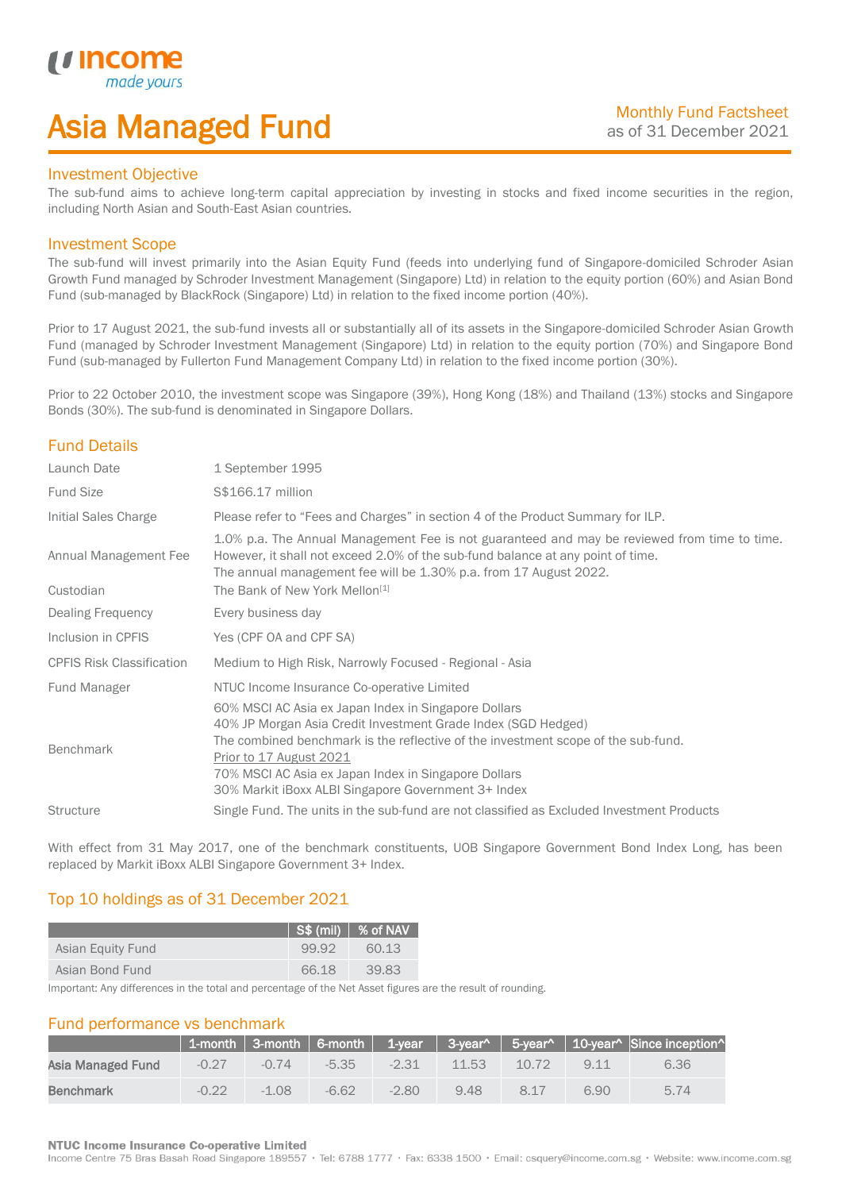## Asia Managed Fund

### Investment Objective

*i i* Incol

I

The sub-fund aims to achieve long-term capital appreciation by investing in stocks and fixed income securities in the region, including North Asian and South-East Asian countries.

### Investment Scope

The sub-fund will invest primarily into the Asian Equity Fund (feeds into underlying fund of Singapore-domiciled Schroder Asian Growth Fund managed by Schroder Investment Management (Singapore) Ltd) in relation to the equity portion (60%) and Asian Bond Fund (sub-managed by BlackRock (Singapore) Ltd) in relation to the fixed income portion (40%).

Prior to 17 August 2021, the sub-fund invests all or substantially all of its assets in the Singapore-domiciled Schroder Asian Growth Fund (managed by Schroder Investment Management (Singapore) Ltd) in relation to the equity portion (70%) and Singapore Bond Fund (sub-managed by Fullerton Fund Management Company Ltd) in relation to the fixed income portion (30%).

Prior to 22 October 2010, the investment scope was Singapore (39%), Hong Kong (18%) and Thailand (13%) stocks and Singapore Bonds (30%). The sub-fund is denominated in Singapore Dollars.

## Fund Details

| Launch Date                        | 1 September 1995                                                                                                                                                                                                                                                                                                                                     |
|------------------------------------|------------------------------------------------------------------------------------------------------------------------------------------------------------------------------------------------------------------------------------------------------------------------------------------------------------------------------------------------------|
| <b>Fund Size</b>                   | S\$166.17 million                                                                                                                                                                                                                                                                                                                                    |
| Initial Sales Charge               | Please refer to "Fees and Charges" in section 4 of the Product Summary for ILP.                                                                                                                                                                                                                                                                      |
| Annual Management Fee<br>Custodian | 1.0% p.a. The Annual Management Fee is not guaranteed and may be reviewed from time to time.<br>However, it shall not exceed 2.0% of the sub-fund balance at any point of time.<br>The annual management fee will be 1.30% p.a. from 17 August 2022.<br>The Bank of New York Mellon <sup>[1]</sup>                                                   |
| Dealing Frequency                  | Every business day                                                                                                                                                                                                                                                                                                                                   |
| Inclusion in CPFIS                 | Yes (CPF OA and CPF SA)                                                                                                                                                                                                                                                                                                                              |
| <b>CPFIS Risk Classification</b>   | Medium to High Risk, Narrowly Focused - Regional - Asia                                                                                                                                                                                                                                                                                              |
| <b>Fund Manager</b>                | NTUC Income Insurance Co-operative Limited                                                                                                                                                                                                                                                                                                           |
| <b>Benchmark</b>                   | 60% MSCI AC Asia ex Japan Index in Singapore Dollars<br>40% JP Morgan Asia Credit Investment Grade Index (SGD Hedged)<br>The combined benchmark is the reflective of the investment scope of the sub-fund.<br>Prior to 17 August 2021<br>70% MSCI AC Asia ex Japan Index in Singapore Dollars<br>30% Markit iBoxx ALBI Singapore Government 3+ Index |
| <b>Structure</b>                   | Single Fund. The units in the sub-fund are not classified as Excluded Investment Products                                                                                                                                                                                                                                                            |
|                                    |                                                                                                                                                                                                                                                                                                                                                      |

With effect from 31 May 2017, one of the benchmark constituents, UOB Singapore Government Bond Index Long, has been replaced by Markit iBoxx ALBI Singapore Government 3+ Index.

## Top 10 holdings as of 31 December 2021

|                   |       | $\sqrt{S\$ (mil) $\sqrt{8}$ of NAV |
|-------------------|-------|------------------------------------|
| Asian Equity Fund | 99.92 | 60.13                              |
| Asian Bond Fund   | 66.18 | 39.83                              |

Important: Any differences in the total and percentage of the Net Asset figures are the result of rounding.

## Fund performance vs benchmark

|                   |         |         |         |         |       |       |       | $\mid$ 1-month $\mid$ 3-month $\mid$ 6-month $\mid$ 1-year $\mid$ 3-year^ $\mid$ 5-year^ $\mid$ 10-year^ Since inception^ |
|-------------------|---------|---------|---------|---------|-------|-------|-------|---------------------------------------------------------------------------------------------------------------------------|
| Asia Managed Fund | $-0.27$ | $-0.74$ | $-5.35$ | $-2.31$ | 11.53 | 10.72 | 9 1 1 | 6.36                                                                                                                      |
| Benchmark         | $-0.22$ | $-1.08$ | $-6.62$ | $-2.80$ | 9.48  | 8.17  | 6.90  | 5.74                                                                                                                      |

### **NTUC Income Insurance Co-operative Limited**

Income Centre 75 Bras Basah Road Singapore 189557 · Tel: 6788 1777 · Fax: 6338 1500 · Email: csquery@income.com.sg · Website: www.income.com.sg